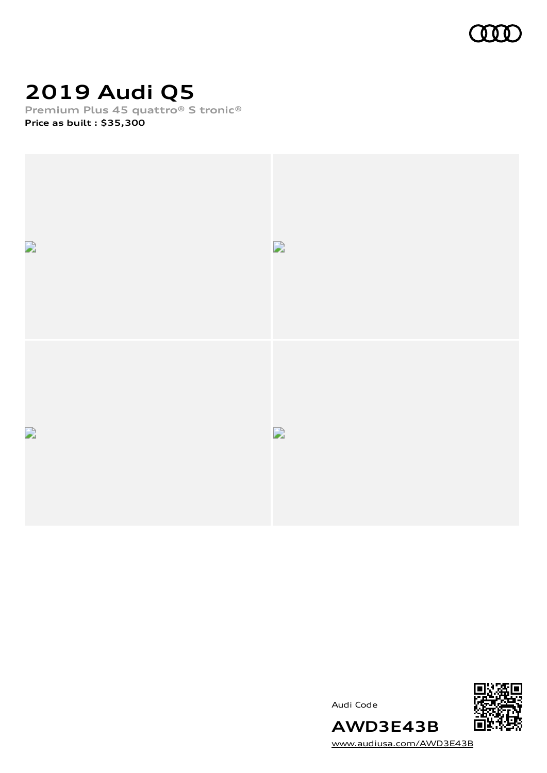

### **2019 Audi Q5**

**Premium Plus 45 quattro® S tronic® Price as built [:](#page-10-0) \$35,300**





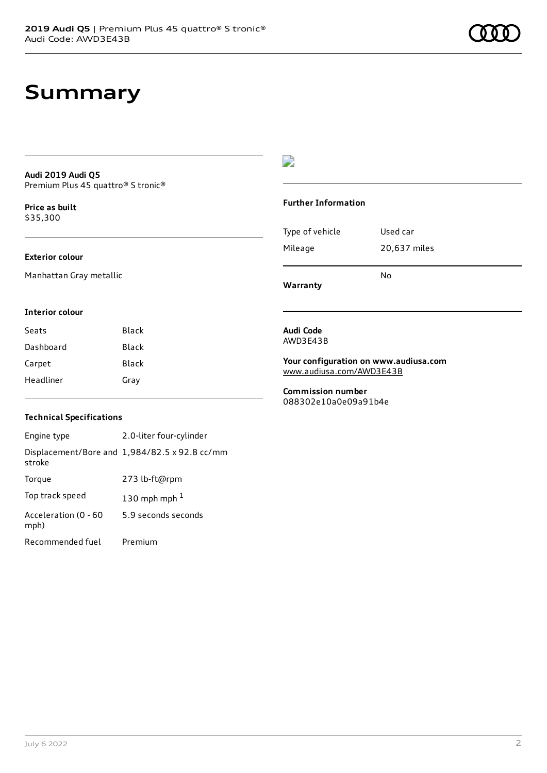### **Summary**

#### **Audi 2019 Audi Q5** Premium Plus 45 quattro® S tronic®

**Price as buil[t](#page-10-0)** \$35,300

### **Exterior colour**

Manhattan Gray metallic

### D

#### **Further Information**

|                 | N٥           |
|-----------------|--------------|
| Mileage         | 20,637 miles |
| Type of vehicle | Used car     |

**Warranty**

#### **Interior colour**

| Seats     | Black |
|-----------|-------|
| Dashboard | Black |
| Carpet    | Black |
| Headliner | Gray  |

#### **Audi Code** AWD3E43B

**Your configuration on www.audiusa.com** [www.audiusa.com/AWD3E43B](https://www.audiusa.com/AWD3E43B)

**Commission number** 088302e10a0e09a91b4e

### **Technical Specifications**

Engine type 2.0-liter four-cylinder Displacement/Bore and 1,984/82.5 x 92.8 cc/mm stroke Torque 273 lb-ft@rpm Top track speed  $130$  $130$  mph mph  $^{\rm 1}$ Acceleration (0 - 60 mph) 5.9 seconds seconds Recommended fuel Premium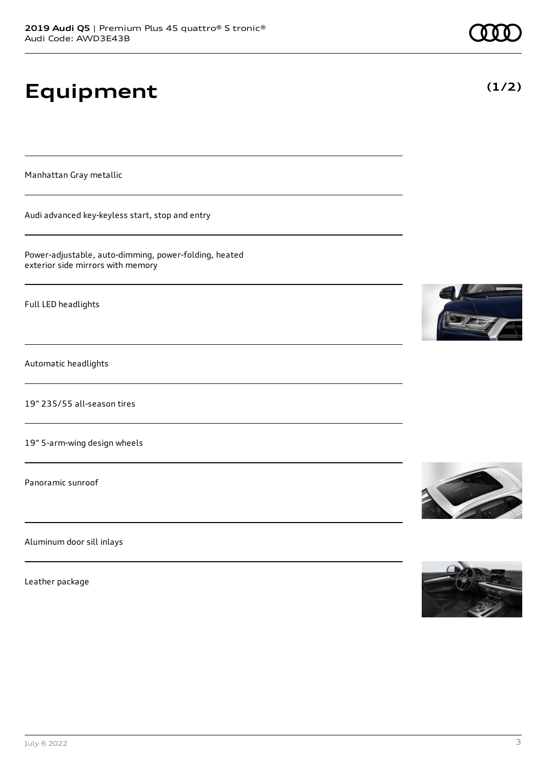# **Equipment**

Manhattan Gray metallic

Audi advanced key-keyless start, stop and entry

Power-adjustable, auto-dimming, power-folding, heated exterior side mirrors with memory

Full LED headlights

Automatic headlights

19" 235/55 all-season tires

19" 5-arm-wing design wheels

Panoramic sunroof

Aluminum door sill inlays

Leather package









**(1/2)**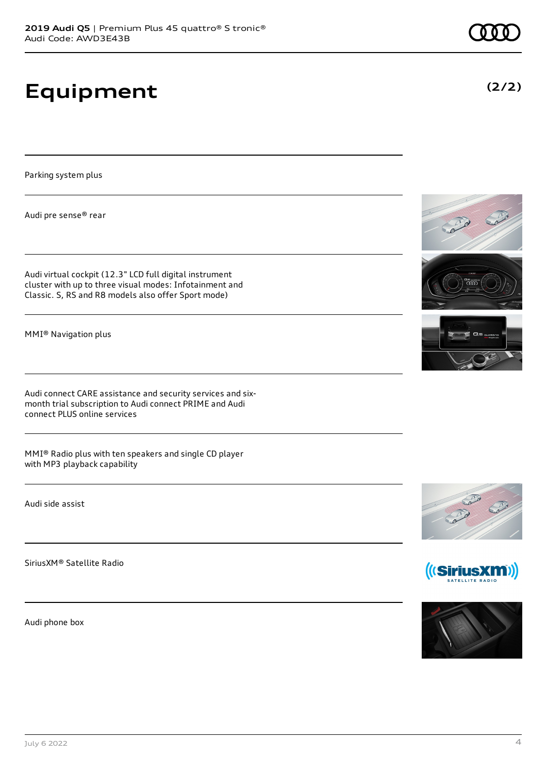## **Equipment**

Parking system plus

Audi pre sense® rear

Audi virtual cockpit (12.3" LCD full digital instrument cluster with up to three visual modes: Infotainment and Classic. S, RS and R8 models also offer Sport mode)

MMI® Navigation plus

Audi connect CARE assistance and security services and sixmonth trial subscription to Audi connect PRIME and Audi connect PLUS online services

MMI® Radio plus with ten speakers and single CD player with MP3 playback capability

Audi side assist

SiriusXM® Satellite Radio

Audi phone box









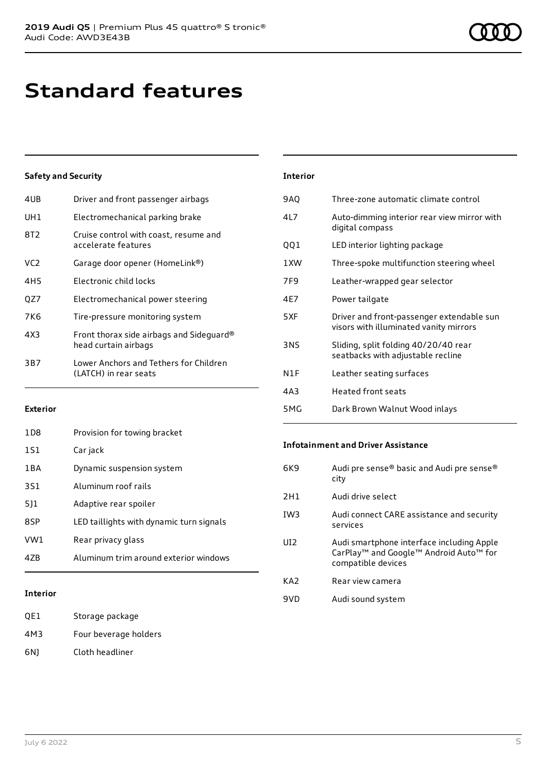### **Standard features**

### **Safety and Security**

| 4UB             | Driver and front passenger airbags                               |
|-----------------|------------------------------------------------------------------|
| UH1             | Electromechanical parking brake                                  |
| 8T2             | Cruise control with coast, resume and<br>accelerate features     |
| VC <sub>2</sub> | Garage door opener (HomeLink®)                                   |
| 4H5             | Electronic child locks                                           |
| OZ7             | Electromechanical power steering                                 |
| 7K6             | Tire-pressure monitoring system                                  |
| 4X3             | Front thorax side airbags and Sideguard®<br>head curtain airbags |
| 3B7             | Lower Anchors and Tethers for Children<br>(LATCH) in rear seats  |
|                 |                                                                  |

| <b>Interior</b>  |                                                                                     |
|------------------|-------------------------------------------------------------------------------------|
| 9AQ              | Three-zone automatic climate control                                                |
| 41 7             | Auto-dimming interior rear view mirror with<br>digital compass                      |
| QQ1              | LED interior lighting package                                                       |
| 1 XW             | Three-spoke multifunction steering wheel                                            |
| 7F <sub>9</sub>  | Leather-wrapped gear selector                                                       |
| 4F7              | Power tailgate                                                                      |
| 5XF              | Driver and front-passenger extendable sun<br>visors with illuminated vanity mirrors |
| 3NS              | Sliding, split folding 40/20/40 rear<br>seatbacks with adjustable recline           |
| N <sub>1</sub> F | Leather seating surfaces                                                            |
| 4A3              | Heated front seats                                                                  |
| 5MG              | Dark Brown Walnut Wood inlays                                                       |

#### **Exterior**

| 1D <sub>8</sub> | Provision for towing bracket             |
|-----------------|------------------------------------------|
| 151             | Car jack                                 |
| 1 B A           | Dynamic suspension system                |
| 3S1             | Aluminum roof rails                      |
| 511             | Adaptive rear spoiler                    |
| 8SP             | LED taillights with dynamic turn signals |
| VW1             | Rear privacy glass                       |
| 47R             | Aluminum trim around exterior windows    |
|                 |                                          |

### **Infotainment and Driver Assistance**

| 6K9             | Audi pre sense® basic and Audi pre sense®<br>city                                                                     |
|-----------------|-----------------------------------------------------------------------------------------------------------------------|
| 2H1             | Audi drive select                                                                                                     |
| IW <sub>3</sub> | Audi connect CARE assistance and security<br>services                                                                 |
| UI <sub>2</sub> | Audi smartphone interface including Apple<br>CarPlay <sup>™</sup> and Google™ Android Auto™ for<br>compatible devices |
| KA <sub>2</sub> | Rear view camera                                                                                                      |
| 9VD             | Audi sound system                                                                                                     |

#### **Interior**

| OE1 | Storage package       |
|-----|-----------------------|
| 4M3 | Four beverage holders |
| 6N1 | Cloth headliner       |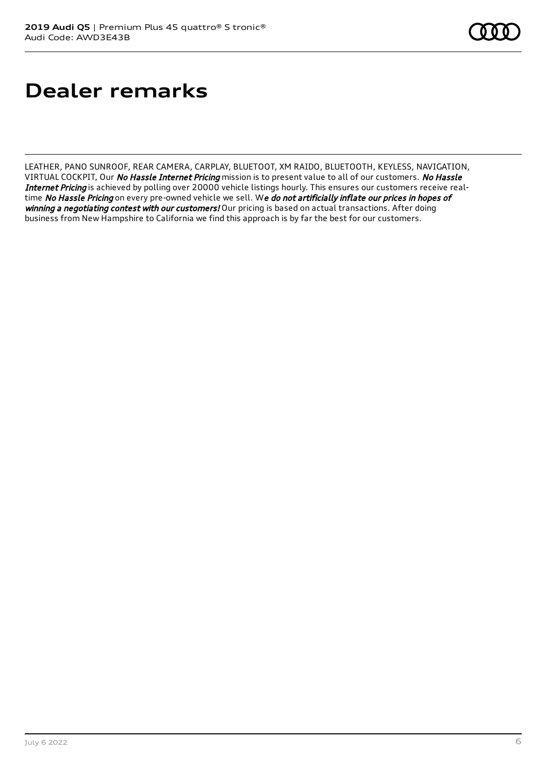## **Dealer remarks**

LEATHER, PANO SUNROOF, REAR CAMERA, CARPLAY, BLUETOOT, XM RAIDO, BLUETOOTH, KEYLESS, NAVIGATION, VIRTUAL COCKPIT, Our No Hassle Internet Pricing mission is to present value to all of our customers. No Hassle Internet Pricing is achieved by polling over 20000 vehicle listings hourly. This ensures our customers receive realtime No Hassle Pricing on every pre-owned vehicle we sell. We do not artificially inflate our prices in hopes of winning a negotiating contest with our customers! Our pricing is based on actual transactions. After doing business from New Hampshire to California we find this approach is by far the best for our customers.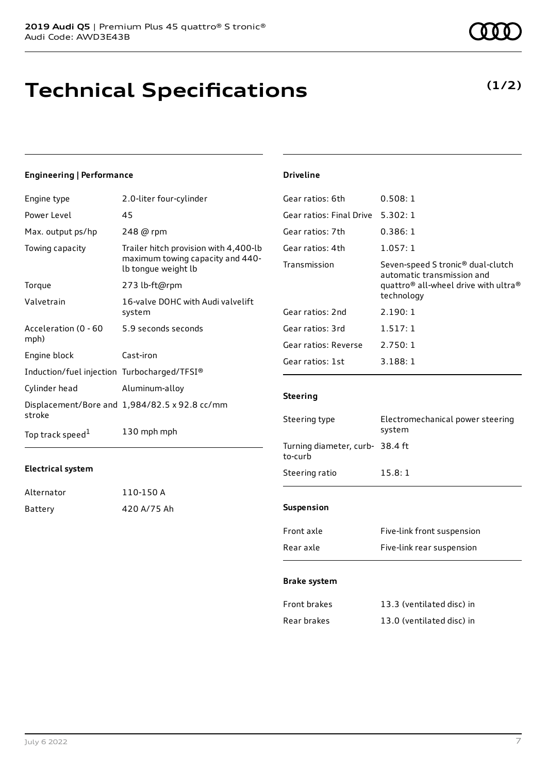### **Technical Specifications**

**(1/2)**

### **Engineering | Performance**

| Engine type                                 | 2.0-liter four-cylinder                                                                          |
|---------------------------------------------|--------------------------------------------------------------------------------------------------|
| Power Level                                 | 45                                                                                               |
| Max. output ps/hp                           | 248 @ rpm                                                                                        |
| Towing capacity                             | Trailer hitch provision with 4,400-lb<br>maximum towing capacity and 440-<br>lb tongue weight lb |
| Torque                                      | 273 lb-ft@rpm                                                                                    |
| Valvetrain                                  | 16-valve DOHC with Audi valvelift<br>system                                                      |
| Acceleration (0 - 60<br>mph)                | 5.9 seconds seconds                                                                              |
| Engine block                                | Cast-iron                                                                                        |
| Induction/fuel injection Turbocharged/TFSI® |                                                                                                  |
| Cylinder head                               | Aluminum-alloy                                                                                   |
| stroke                                      | Displacement/Bore and 1,984/82.5 x 92.8 cc/mm                                                    |
| Top track speed <sup>1</sup>                | 130 mph mph                                                                                      |

#### **Electrical system**

| Alternator | 110-150 A   |
|------------|-------------|
| Battery    | 420 A/75 Ah |

### **Driveline** Gear ratios: 6th 0.508: 1 Gear ratios: Final Drive 5.302: 1 Gear ratios: 7th 0.386: 1 Gear ratios: 4th 1.057: 1 Transmission Seven-speed S tronic® dual-clutch automatic transmission and quattro® all-wheel drive with ultra® technology Gear ratios: 2nd 2.190: 1 Gear ratios: 3rd 1.517: 1 Gear ratios: Reverse 2.750: 1 Gear ratios: 1st 3.188: 1

### **Steering**

| Steering type                              | Electromechanical power steering<br>system |
|--------------------------------------------|--------------------------------------------|
| Turning diameter, curb- 38.4 ft<br>to-curb |                                            |
| Steering ratio                             | 15.8:1                                     |
| <b>Suspension</b>                          |                                            |

| Front axle | Five-link front suspension |
|------------|----------------------------|
| Rear axle  | Five-link rear suspension  |

#### **Brake system**

| Front brakes | 13.3 (ventilated disc) in |
|--------------|---------------------------|
| Rear brakes  | 13.0 (ventilated disc) in |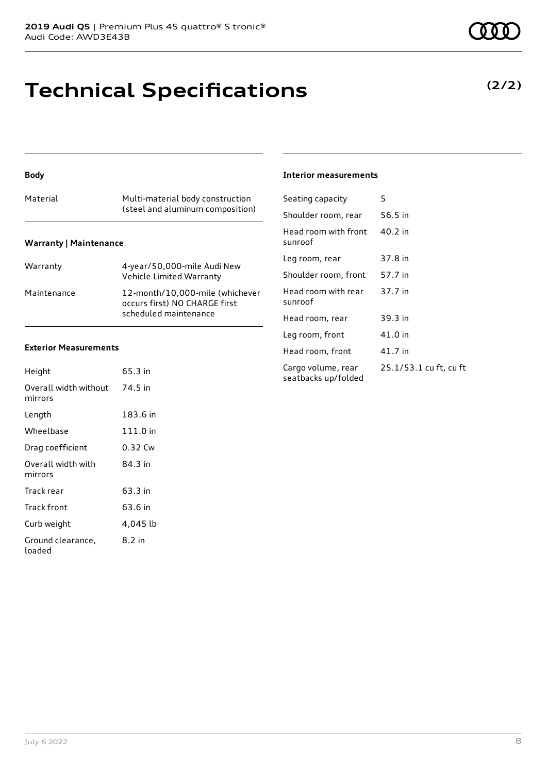### **Technical Specifications**

**Body**

| Material | Multi-material body construction<br>(steel and aluminum composition) |
|----------|----------------------------------------------------------------------|
|          |                                                                      |

### **Warranty | Maintenance**

| Warranty    | 4-year/50,000-mile Audi New<br>Vehicle Limited Warranty                                   |
|-------------|-------------------------------------------------------------------------------------------|
| Maintenance | 12-month/10,000-mile (whichever<br>occurs first) NO CHARGE first<br>scheduled maintenance |

#### **Exterior Measurements**

| Height                           | 65.3 in  |
|----------------------------------|----------|
| Overall width without<br>mirrors | 74.5 in  |
| Length                           | 183.6 in |
| Wheelbase                        | 111.0 in |
| Drag coefficient                 | 0.32 Cw  |
| Overall width with<br>mirrors    | 84.3 in  |
| Track rear                       | 63.3 in  |
| Track front                      | 63.6 in  |
| Curb weight                      | 4,045 lb |
| Ground clearance,<br>loaded      | 8.2 in   |

### **Interior measurements**

| Seating capacity                          | 5                      |
|-------------------------------------------|------------------------|
| Shoulder room, rear                       | 56.5 in                |
| Head room with front<br>sunroof           | 40.2 in                |
| Leg room, rear                            | 37.8 in                |
| Shoulder room, front                      | 57.7 in                |
| Head room with rear<br>sunroof            | 37.7 in                |
| Head room, rear                           | 39.3 in                |
| Leg room, front                           | 41.0 in                |
| Head room, front                          | 41.7 in                |
| Cargo volume, rear<br>seatbacks up/folded | 25.1/53.1 cu ft, cu ft |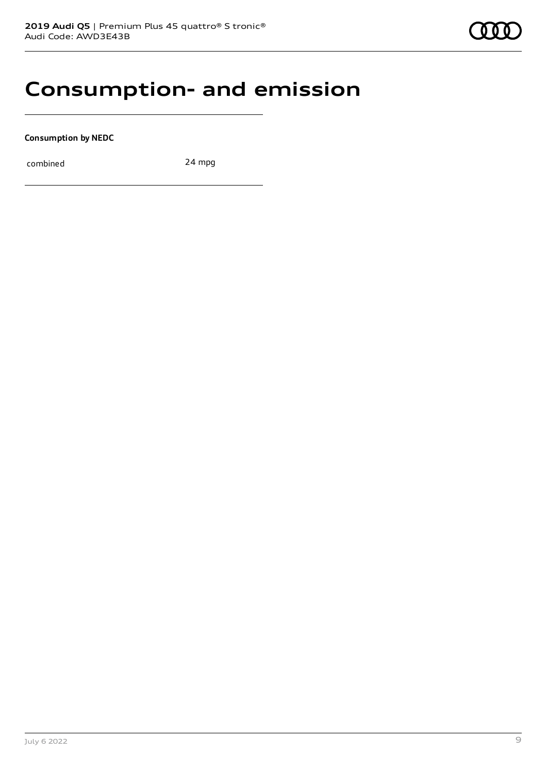### **Consumption- and emission**

**Consumption by NEDC**

combined 24 mpg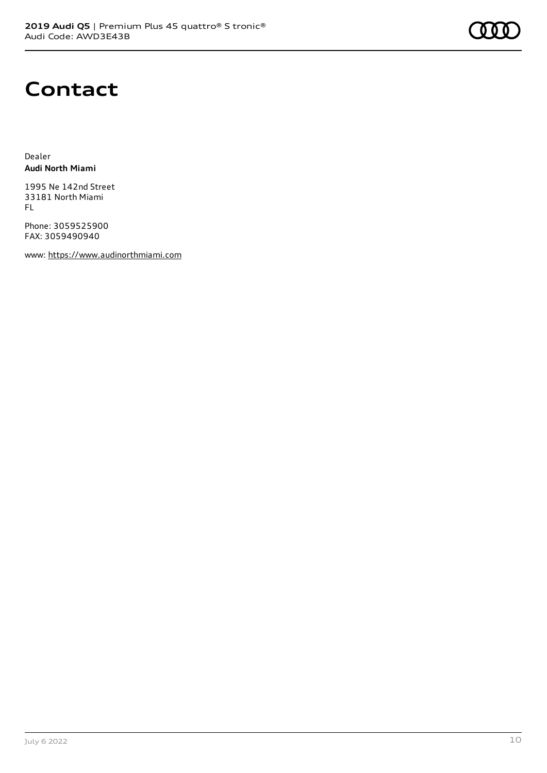### **Contact**

Dealer **Audi North Miami**

1995 Ne 142nd Street 33181 North Miami FL

Phone: 3059525900 FAX: 3059490940

www: [https://www.audinorthmiami.com](https://www.audinorthmiami.com/)